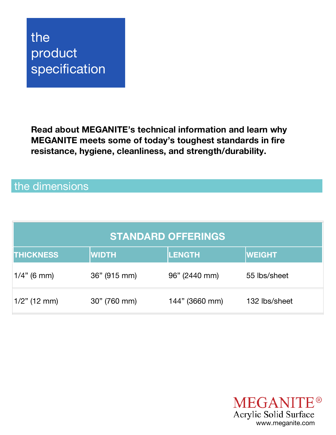# the product specification

**Read about MEGANITE's technical information and learn why MEGANITE meets some of today's toughest standards in fire resistance, hygiene, cleanliness, and strength/durability.**

### the dimensions

| <b>STANDARD OFFERINGS</b> |              |                |               |  |  |
|---------------------------|--------------|----------------|---------------|--|--|
| <b>THICKNESS</b>          | <b>WIDTH</b> | <b>LENGTH</b>  | <b>WEIGHT</b> |  |  |
| $1/4$ " (6 mm)            | 36" (915 mm) | 96" (2440 mm)  | 55 lbs/sheet  |  |  |
| $1/2$ " (12 mm)           | 30" (760 mm) | 144" (3660 mm) | 132 lbs/sheet |  |  |

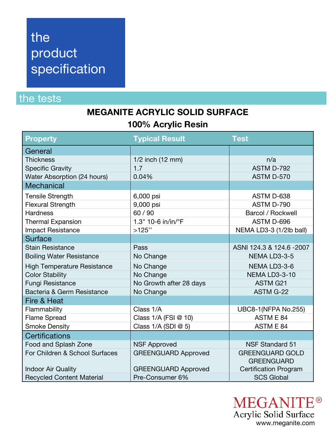# the product specification

### the tests

#### **MEGANITE ACRYLIC SOLID SURFACE 100% Acrylic Resin**

| <b>Property</b>                    | <b>Typical Result</b>      | <b>Test</b>                  |
|------------------------------------|----------------------------|------------------------------|
| General                            |                            |                              |
| <b>Thickness</b>                   | 1/2 inch (12 mm)           | n/a                          |
| <b>Specific Gravity</b>            | 1.7                        | ASTM D-792                   |
| Water Absorption (24 hours)        | 0.04%                      | ASTM D-570                   |
| <b>Mechanical</b>                  |                            |                              |
| <b>Tensile Strength</b>            | 6,000 psi                  | ASTM D-638                   |
| <b>Flexural Strength</b>           | 9,000 psi                  | ASTM D-790                   |
| <b>Hardness</b>                    | 60 / 90                    | <b>Barcol / Rockwell</b>     |
| <b>Thermal Expansion</b>           | 1.3" 10-6 in/in/°F         | ASTM D-696                   |
| <b>Impact Resistance</b>           | >125"                      | NEMA LD3-3 (1/2lb ball)      |
| <b>Surface</b>                     |                            |                              |
| <b>Stain Resistance</b>            | Pass                       | ASNI 124.3 & 124.6 -2007     |
| <b>Boiling Water Resistance</b>    | No Change                  | NEMA LD3-3-5                 |
| <b>High Temperature Resistance</b> | No Change                  | NEMA LD3-3-6                 |
| <b>Color Stability</b>             | No Change                  | NEMA LD3-3-10                |
| <b>Fungi Resistance</b>            | No Growth after 28 days    | <b>ASTM G21</b>              |
| Bacteria & Germ Resistance         | No Change                  | <b>ASTM G-22</b>             |
| Fire & Heat                        |                            |                              |
| Flammability                       | Class 1/A                  | <b>UBC8-1(NFPA No.255)</b>   |
| <b>Flame Spread</b>                | Class 1/A (FSI @ 10)       | ASTM E 84                    |
| <b>Smoke Density</b>               | Class $1/A$ (SDI $@$ 5)    | ASTM E 84                    |
| <b>Certifications</b>              |                            |                              |
| Food and Splash Zone               | <b>NSF Approved</b>        | <b>NSF Standard 51</b>       |
| For Children & School Surfaces     | <b>GREENGUARD Approved</b> | <b>GREENGUARD GOLD</b>       |
|                                    |                            | <b>GREENGUARD</b>            |
| <b>Indoor Air Quality</b>          | <b>GREENGUARD Approved</b> | <b>Certification Program</b> |
| <b>Recycled Content Material</b>   | Pre-Consumer 6%            | <b>SCS Global</b>            |

**MEGANITE®** Acrylic Solid Surface www.meganite.com